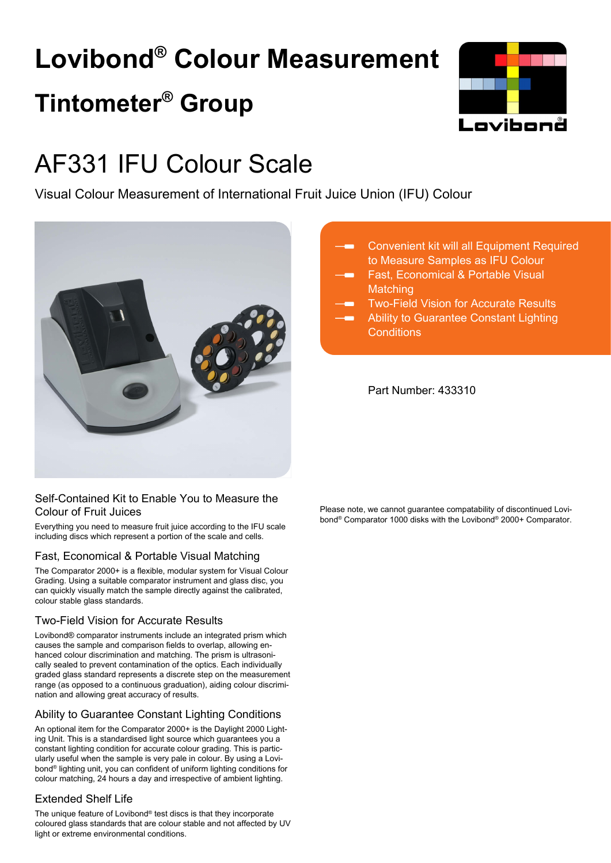# **Lovibond® Colour Measurement Tintometer® Group**



## AF331 IFU Colour Scale

Visual Colour Measurement of International Fruit Juice Union (IFU) Colour



### Self-Contained Kit to Enable You to Measure the Colour of Fruit Juices

Everything you need to measure fruit juice according to the IFU scale including discs which represent a portion of the scale and cells.

### Fast, Economical & Portable Visual Matching

The Comparator 2000+ is a flexible, modular system for Visual Colour Grading. Using a suitable comparator instrument and glass disc, you can quickly visually match the sample directly against the calibrated, colour stable glass standards.

### Two-Field Vision for Accurate Results

Lovibond® comparator instruments include an integrated prism which causes the sample and comparison fields to overlap, allowing enhanced colour discrimination and matching. The prism is ultrasonically sealed to prevent contamination of the optics. Each individually graded glass standard represents a discrete step on the measurement range (as opposed to a continuous graduation), aiding colour discrimination and allowing great accuracy of results.

### Ability to Guarantee Constant Lighting Conditions

An optional item for the Comparator 2000+ is the Daylight 2000 Lighting Unit. This is a standardised light source which guarantees you a constant lighting condition for accurate colour grading. This is particularly useful when the sample is very pale in colour. By using a Lovibond® lighting unit, you can confident of uniform lighting conditions for colour matching, 24 hours a day and irrespective of ambient lighting.

### Extended Shelf Life

The unique feature of Lovibond® test discs is that they incorporate coloured glass standards that are colour stable and not affected by UV light or extreme environmental conditions.

- Convenient kit will all Equipment Required to Measure Samples as IFU Colour
	- Fast, Economical & Portable Visual **Matching**
	- Two-Field Vision for Accurate Results
	- Ability to Guarantee Constant Lighting **Conditions**

Part Number: 433310

Please note, we cannot guarantee compatability of discontinued Lovibond® Comparator 1000 disks with the Lovibond® 2000+ Comparator.